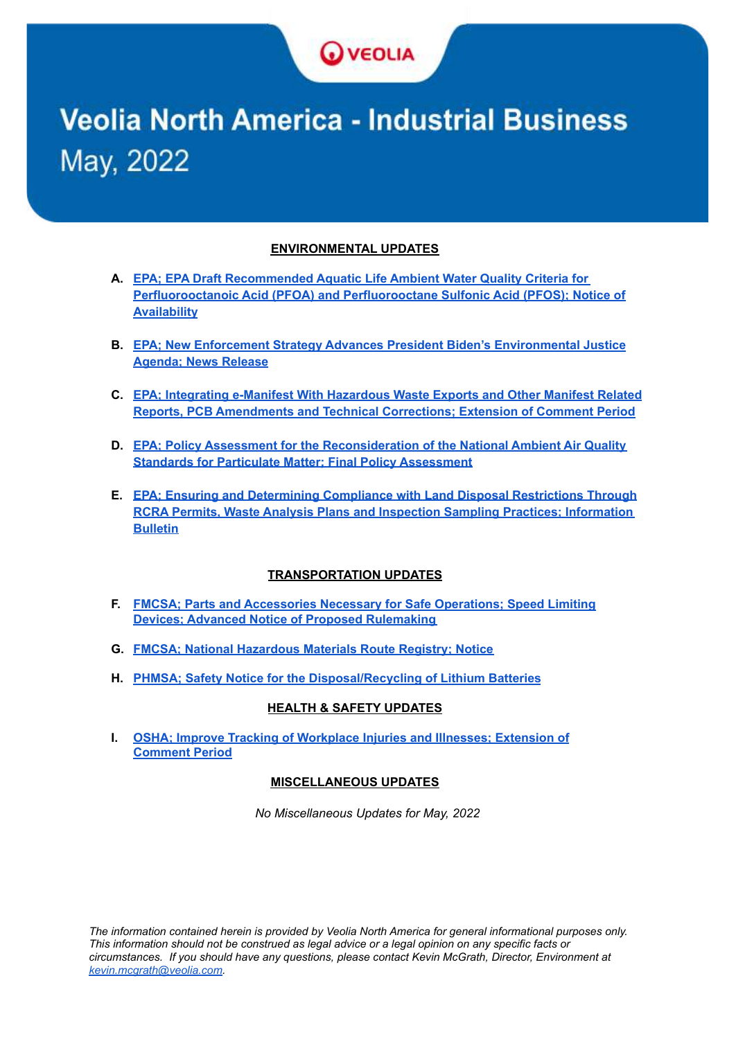

# **Veolia North America - Industrial Business** May, 2022

#### **ENVIRONMENTAL UPDATES**

- **A. EPA; EPA Draft [Recommended](#page-1-0) Aquatic Life Ambient Water Quality Criteria for [Perfluorooctanoic](#page-1-0) Acid (PFOA) and Perfluorooctane Sulfonic Acid (PFOS); Notice of [Availability](#page-1-0)**
- **B. EPA; New Enforcement Strategy Advances President Biden's [Environmental](#page-2-0) Justice [Agenda;](#page-2-0) News Release**
- **C. EPA; [Integrating](#page-3-0) e-Manifest With Hazardous Waste Exports and Other Manifest Related Reports, PCB [Amendments](#page-3-0) and Technical Corrections; Extension of Comment Period**
- **D. EPA; Policy Assessment for the [Reconsideration](#page-4-0) of the National Ambient Air Quality Standards for Particulate Matter; Final Policy [Assessment](#page-4-0)**
- **E. EPA; Ensuring and [Determining](#page-5-0) Compliance with Land Disposal Restrictions Through RCRA Permits, Waste Analysis Plans and Inspection Sampling Practices; [Information](#page-5-0) [Bulletin](#page-5-0)**

#### **TRANSPORTATION UPDATES**

- **F. FMCSA; Parts and [Accessories](#page-8-0) Necessary for Safe Operations; Speed Limiting Devices; Advanced Notice of Proposed [Rulemaking](#page-8-0)**
- **G. FMCSA; National [Hazardous](#page-10-0) Materials Route Registry; Notice**
- **H. PHMSA; Safety Notice for the [Disposal/Recycling](#page-11-0) of Lithium Batteries**

#### **HEALTH & SAFETY UPDATES**

**I. OSHA; Improve Tracking of [Workplace](#page-12-0) Injuries and Illnesses; Extension of [Comment](#page-12-0) Period**

#### **MISCELLANEOUS UPDATES**

*No Miscellaneous Updates for May, 2022*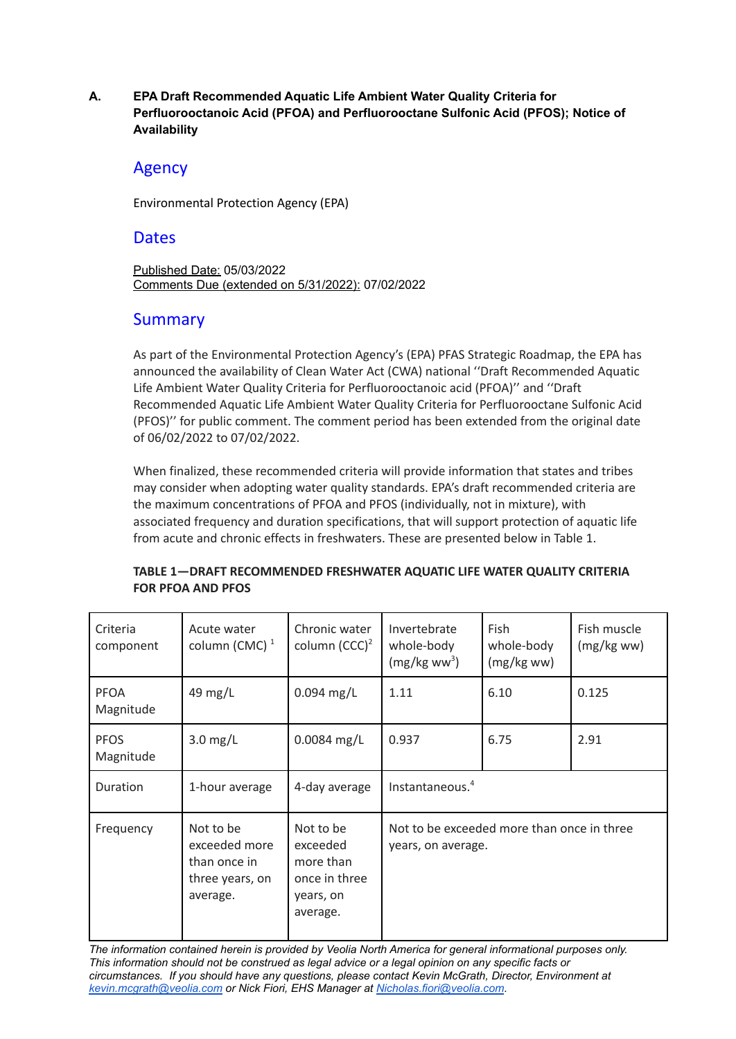<span id="page-1-0"></span>**A. EPA Draft Recommended Aquatic Life Ambient Water Quality Criteria for Perfluorooctanoic Acid (PFOA) and Perfluorooctane Sulfonic Acid (PFOS); Notice of Availability**

# Agency

Environmental Protection Agency (EPA)

# **Dates**

Published Date: 05/03/2022 Comments Due (extended on 5/31/2022): 07/02/2022

# Summary

As part of the Environmental Protection Agency's (EPA) PFAS Strategic Roadmap, the EPA has announced the availability of Clean Water Act (CWA) national ''Draft Recommended Aquatic Life Ambient Water Quality Criteria for Perfluorooctanoic acid (PFOA)'' and ''Draft Recommended Aquatic Life Ambient Water Quality Criteria for Perfluorooctane Sulfonic Acid (PFOS)'' for public comment. The comment period has been extended from the original date of 06/02/2022 to 07/02/2022.

When finalized, these recommended criteria will provide information that states and tribes may consider when adopting water quality standards. EPA's draft recommended criteria are the maximum concentrations of PFOA and PFOS (individually, not in mixture), with associated frequency and duration specifications, that will support protection of aquatic life from acute and chronic effects in freshwaters. These are presented below in Table 1.

| Criteria<br>component    | Acute water<br>column (CMC) $1$                                           | Chronic water<br>column $(CCC)^2$                                            | Invertebrate<br>whole-body<br>$(mg/kg$ ww <sup>3</sup> )         | <b>Fish</b><br>whole-body<br>$(mg/kg$ ww) | Fish muscle<br>$(mg/kg$ ww) |
|--------------------------|---------------------------------------------------------------------------|------------------------------------------------------------------------------|------------------------------------------------------------------|-------------------------------------------|-----------------------------|
| <b>PFOA</b><br>Magnitude | 49 mg/L                                                                   | $0.094$ mg/L                                                                 | 1.11                                                             | 6.10                                      | 0.125                       |
| <b>PFOS</b><br>Magnitude | $3.0$ mg/L                                                                | $0.0084$ mg/L                                                                | 0.937                                                            | 6.75                                      | 2.91                        |
| Duration                 | 1-hour average                                                            | 4-day average                                                                | Instantaneous. <sup>4</sup>                                      |                                           |                             |
| Frequency                | Not to be<br>exceeded more<br>than once in<br>three years, on<br>average. | Not to be<br>exceeded<br>more than<br>once in three<br>years, on<br>average. | Not to be exceeded more than once in three<br>years, on average. |                                           |                             |

#### **TABLE 1—DRAFT RECOMMENDED FRESHWATER AQUATIC LIFE WATER QUALITY CRITERIA FOR PFOA AND PFOS**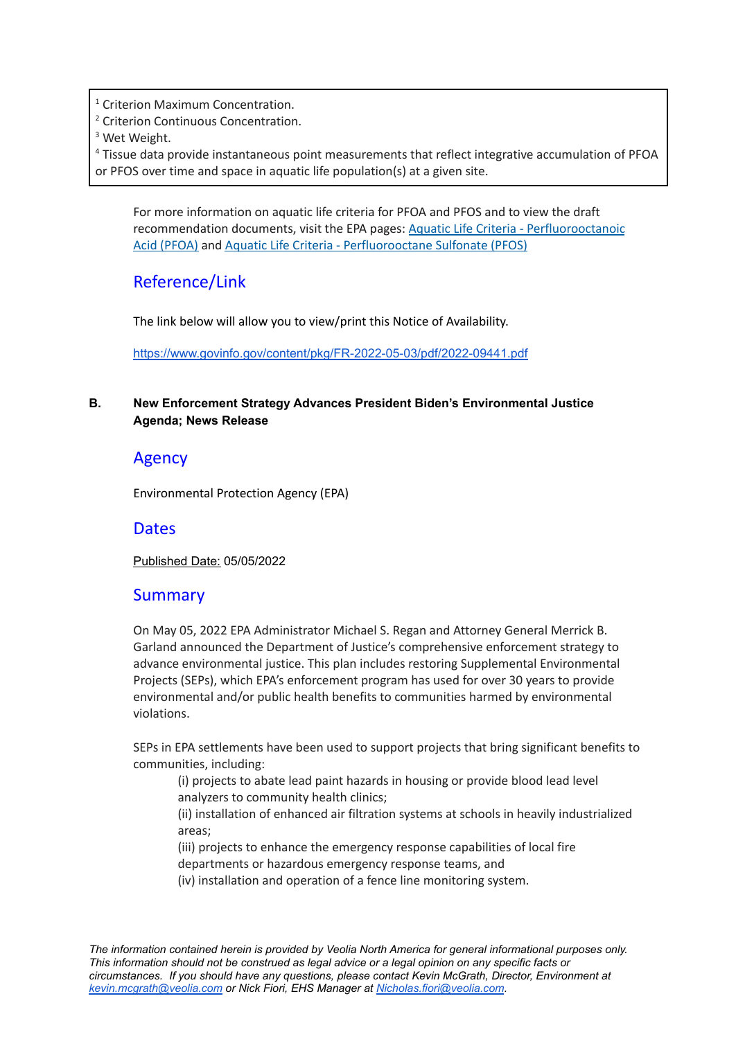<sup>1</sup> Criterion Maximum Concentration.

<sup>2</sup> Criterion Continuous Concentration.

<sup>3</sup> Wet Weight.

<sup>4</sup> Tissue data provide instantaneous point measurements that reflect integrative accumulation of PFOA or PFOS over time and space in aquatic life population(s) at a given site.

For more information on aquatic life criteria for PFOA and PFOS and to view the draft recommendation documents, visit the EPA pages: Aquatic Life Criteria - [Perfluorooctanoic](https://www.epa.gov/wqc/aquatic-life-criteria-perfluorooctanoic-acid-pfoa) Acid [\(PFOA\)](https://www.epa.gov/wqc/aquatic-life-criteria-perfluorooctanoic-acid-pfoa) and Aquatic Life Criteria - [Perfluorooctane](https://www.epa.gov/wqc/aquatic-life-criteria-perfluorooctane-sulfonate-pfos) Sulfonate (PFOS)

# Reference/Link

The link below will allow you to view/print this Notice of Availability.

<https://www.govinfo.gov/content/pkg/FR-2022-05-03/pdf/2022-09441.pdf>

#### <span id="page-2-0"></span>**B. New Enforcement Strategy Advances President Biden's Environmental Justice Agenda; News Release**

# Agency

Environmental Protection Agency (EPA)

# **Dates**

Published Date: 05/05/2022

# Summary

On May 05, 2022 EPA Administrator Michael S. Regan and Attorney General Merrick B. Garland announced the Department of Justice's comprehensive enforcement strategy to advance environmental justice. This plan includes restoring Supplemental Environmental Projects (SEPs), which EPA's enforcement program has used for over 30 years to provide environmental and/or public health benefits to communities harmed by environmental violations.

SEPs in EPA settlements have been used to support projects that bring significant benefits to communities, including:

(i) projects to abate lead paint hazards in housing or provide blood lead level analyzers to community health clinics;

(ii) installation of enhanced air filtration systems at schools in heavily industrialized areas;

(iii) projects to enhance the emergency response capabilities of local fire

departments or hazardous emergency response teams, and

(iv) installation and operation of a fence line monitoring system.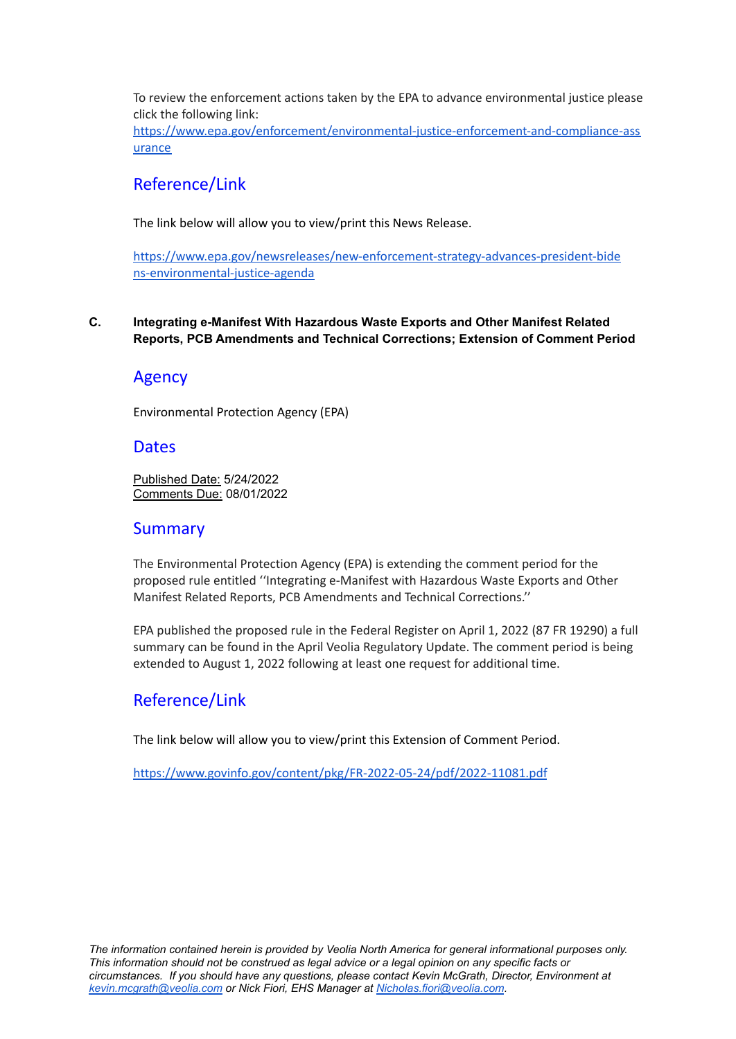To review the enforcement actions taken by the EPA to advance environmental justice please click the following link:

[https://www.epa.gov/enforcement/environmental-justice-enforcement-and-compliance-ass](https://www.epa.gov/enforcement/environmental-justice-enforcement-and-compliance-assurance) [urance](https://www.epa.gov/enforcement/environmental-justice-enforcement-and-compliance-assurance)

# Reference/Link

The link below will allow you to view/print this News Release.

[https://www.epa.gov/newsreleases/new-enforcement-strategy-advances-president-bide](https://www.epa.gov/newsreleases/new-enforcement-strategy-advances-president-bidens-environmental-justice-agenda) [ns-environmental-justice-agenda](https://www.epa.gov/newsreleases/new-enforcement-strategy-advances-president-bidens-environmental-justice-agenda)

#### <span id="page-3-0"></span>**C. Integrating e-Manifest With Hazardous Waste Exports and Other Manifest Related Reports, PCB Amendments and Technical Corrections; Extension of Comment Period**

# Agency

Environmental Protection Agency (EPA)

## **Dates**

Published Date: 5/24/2022 Comments Due: 08/01/2022

# **Summary**

The Environmental Protection Agency (EPA) is extending the comment period for the proposed rule entitled ''Integrating e-Manifest with Hazardous Waste Exports and Other Manifest Related Reports, PCB Amendments and Technical Corrections.''

EPA published the proposed rule in the Federal Register on April 1, 2022 (87 FR 19290) a full summary can be found in the April Veolia Regulatory Update. The comment period is being extended to August 1, 2022 following at least one request for additional time.

# Reference/Link

The link below will allow you to view/print this Extension of Comment Period.

<https://www.govinfo.gov/content/pkg/FR-2022-05-24/pdf/2022-11081.pdf>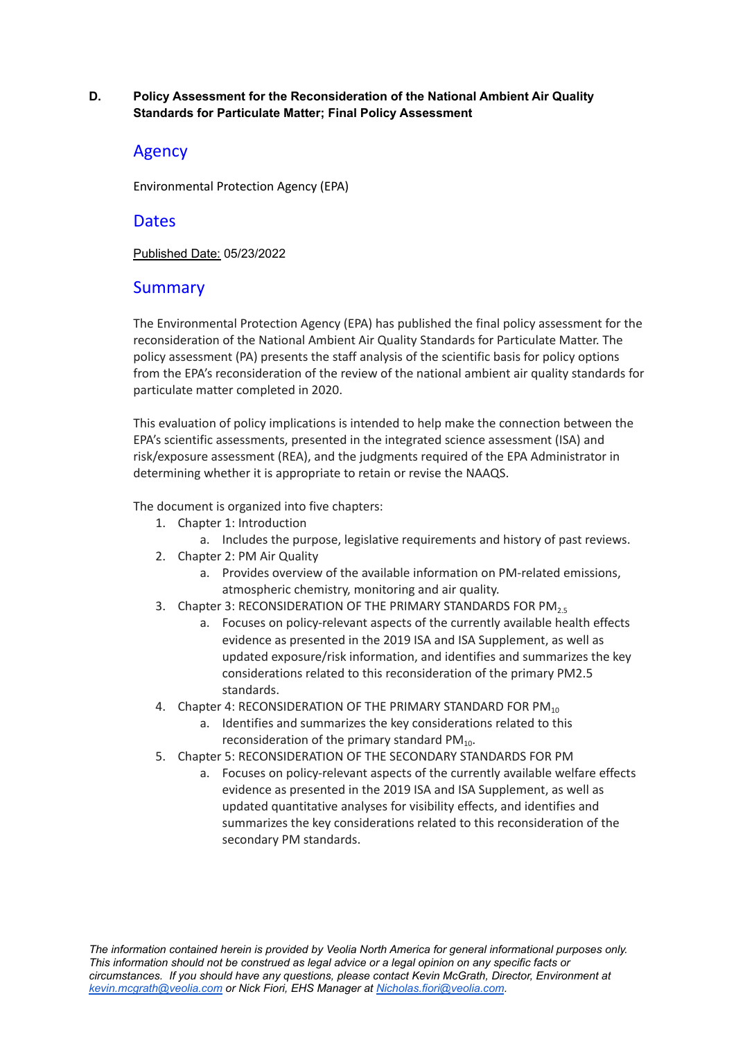#### <span id="page-4-0"></span>**D. Policy Assessment for the Reconsideration of the National Ambient Air Quality Standards for Particulate Matter; Final Policy Assessment**

# Agency

Environmental Protection Agency (EPA)

## **Dates**

Published Date: 05/23/2022

# **Summary**

The Environmental Protection Agency (EPA) has published the final policy assessment for the reconsideration of the National Ambient Air Quality Standards for Particulate Matter. The policy assessment (PA) presents the staff analysis of the scientific basis for policy options from the EPA's reconsideration of the review of the national ambient air quality standards for particulate matter completed in 2020.

This evaluation of policy implications is intended to help make the connection between the EPA's scientific assessments, presented in the integrated science assessment (ISA) and risk/exposure assessment (REA), and the judgments required of the EPA Administrator in determining whether it is appropriate to retain or revise the NAAQS.

The document is organized into five chapters:

- 1. Chapter 1: Introduction
- a. Includes the purpose, legislative requirements and history of past reviews.
- 2. Chapter 2: PM Air Quality
	- a. Provides overview of the available information on PM-related emissions, atmospheric chemistry, monitoring and air quality.
- 3. Chapter 3: RECONSIDERATION OF THE PRIMARY STANDARDS FOR PM<sub>2.5</sub>
	- a. Focuses on policy-relevant aspects of the currently available health effects evidence as presented in the 2019 ISA and ISA Supplement, as well as updated exposure/risk information, and identifies and summarizes the key considerations related to this reconsideration of the primary PM2.5 standards.
- 4. Chapter 4: RECONSIDERATION OF THE PRIMARY STANDARD FOR PM<sub>10</sub>
	- a. Identifies and summarizes the key considerations related to this reconsideration of the primary standard PM $_{10}$ .
- 5. Chapter 5: RECONSIDERATION OF THE SECONDARY STANDARDS FOR PM
	- a. Focuses on policy-relevant aspects of the currently available welfare effects evidence as presented in the 2019 ISA and ISA Supplement, as well as updated quantitative analyses for visibility effects, and identifies and summarizes the key considerations related to this reconsideration of the secondary PM standards.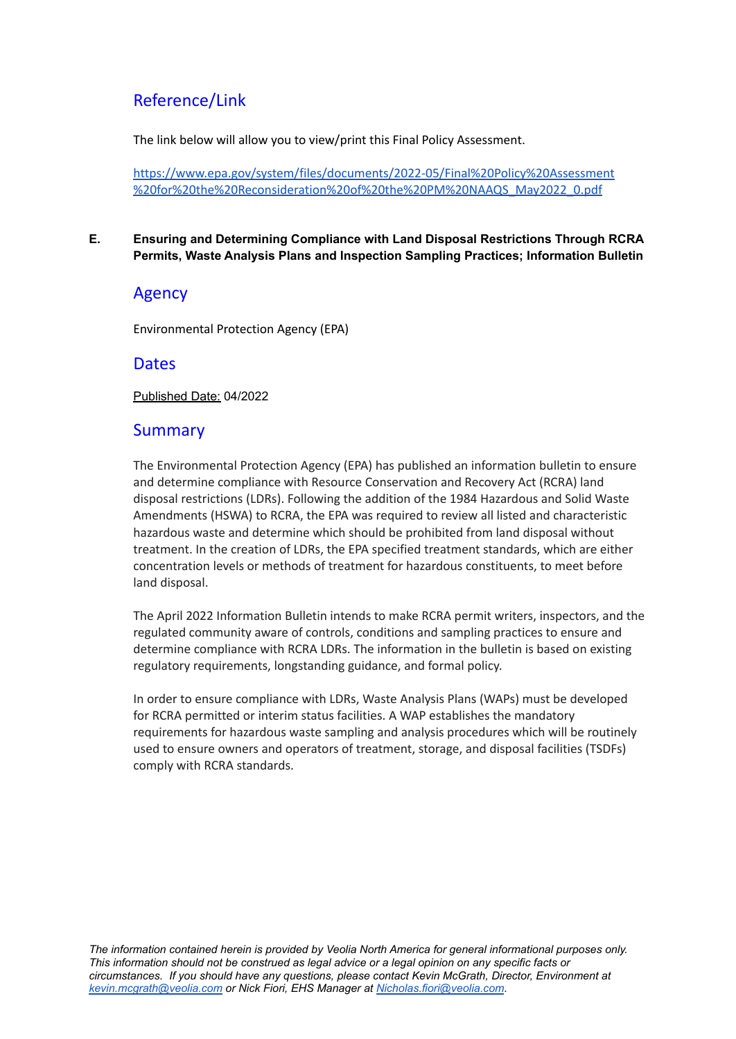# Reference/Link

The link below will allow you to view/print this Final Policy Assessment.

[https://www.epa.gov/system/files/documents/2022-05/Final%20Policy%20Assessment](https://www.epa.gov/system/files/documents/2022-05/Final%20Policy%20Assessment%20for%20the%20Reconsideration%20of%20the%20PM%20NAAQS_May2022_0.pdf) [%20for%20the%20Reconsideration%20of%20the%20PM%20NAAQS\\_May2022\\_0.pdf](https://www.epa.gov/system/files/documents/2022-05/Final%20Policy%20Assessment%20for%20the%20Reconsideration%20of%20the%20PM%20NAAQS_May2022_0.pdf)

#### <span id="page-5-0"></span>**E. Ensuring and Determining Compliance with Land Disposal Restrictions Through RCRA Permits, Waste Analysis Plans and Inspection Sampling Practices; Information Bulletin**

# Agency

Environmental Protection Agency (EPA)

## **Dates**

Published Date: 04/2022

# Summary

The Environmental Protection Agency (EPA) has published an information bulletin to ensure and determine compliance with Resource Conservation and Recovery Act (RCRA) land disposal restrictions (LDRs). Following the addition of the 1984 Hazardous and Solid Waste Amendments (HSWA) to RCRA, the EPA was required to review all listed and characteristic hazardous waste and determine which should be prohibited from land disposal without treatment. In the creation of LDRs, the EPA specified treatment standards, which are either concentration levels or methods of treatment for hazardous constituents, to meet before land disposal.

The April 2022 Information Bulletin intends to make RCRA permit writers, inspectors, and the regulated community aware of controls, conditions and sampling practices to ensure and determine compliance with RCRA LDRs. The information in the bulletin is based on existing regulatory requirements, longstanding guidance, and formal policy.

In order to ensure compliance with LDRs, Waste Analysis Plans (WAPs) must be developed for RCRA permitted or interim status facilities. A WAP establishes the mandatory requirements for hazardous waste sampling and analysis procedures which will be routinely used to ensure owners and operators of treatment, storage, and disposal facilities (TSDFs) comply with RCRA standards.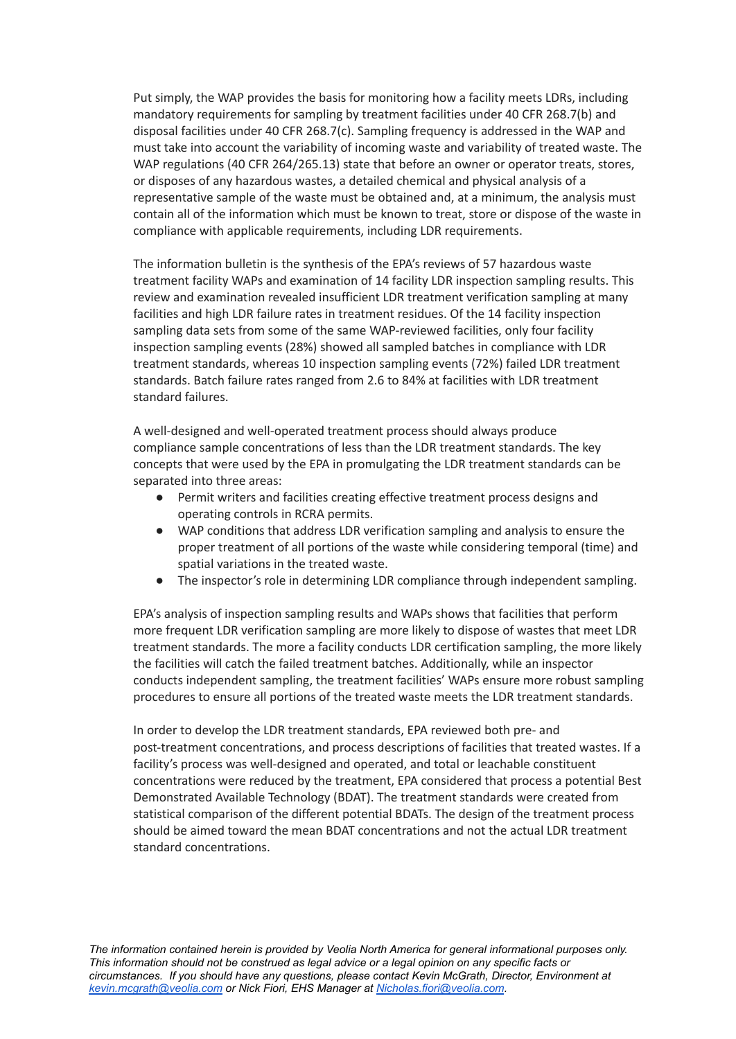Put simply, the WAP provides the basis for monitoring how a facility meets LDRs, including mandatory requirements for sampling by treatment facilities under 40 CFR 268.7(b) and disposal facilities under 40 CFR 268.7(c). Sampling frequency is addressed in the WAP and must take into account the variability of incoming waste and variability of treated waste. The WAP regulations (40 CFR 264/265.13) state that before an owner or operator treats, stores, or disposes of any hazardous wastes, a detailed chemical and physical analysis of a representative sample of the waste must be obtained and, at a minimum, the analysis must contain all of the information which must be known to treat, store or dispose of the waste in compliance with applicable requirements, including LDR requirements.

The information bulletin is the synthesis of the EPA's reviews of 57 hazardous waste treatment facility WAPs and examination of 14 facility LDR inspection sampling results. This review and examination revealed insufficient LDR treatment verification sampling at many facilities and high LDR failure rates in treatment residues. Of the 14 facility inspection sampling data sets from some of the same WAP-reviewed facilities, only four facility inspection sampling events (28%) showed all sampled batches in compliance with LDR treatment standards, whereas 10 inspection sampling events (72%) failed LDR treatment standards. Batch failure rates ranged from 2.6 to 84% at facilities with LDR treatment standard failures.

A well-designed and well-operated treatment process should always produce compliance sample concentrations of less than the LDR treatment standards. The key concepts that were used by the EPA in promulgating the LDR treatment standards can be separated into three areas:

- Permit writers and facilities creating effective treatment process designs and operating controls in RCRA permits.
- WAP conditions that address LDR verification sampling and analysis to ensure the proper treatment of all portions of the waste while considering temporal (time) and spatial variations in the treated waste.
- The inspector's role in determining LDR compliance through independent sampling.

EPA's analysis of inspection sampling results and WAPs shows that facilities that perform more frequent LDR verification sampling are more likely to dispose of wastes that meet LDR treatment standards. The more a facility conducts LDR certification sampling, the more likely the facilities will catch the failed treatment batches. Additionally, while an inspector conducts independent sampling, the treatment facilities' WAPs ensure more robust sampling procedures to ensure all portions of the treated waste meets the LDR treatment standards.

In order to develop the LDR treatment standards, EPA reviewed both pre- and post-treatment concentrations, and process descriptions of facilities that treated wastes. If a facility's process was well-designed and operated, and total or leachable constituent concentrations were reduced by the treatment, EPA considered that process a potential Best Demonstrated Available Technology (BDAT). The treatment standards were created from statistical comparison of the different potential BDATs. The design of the treatment process should be aimed toward the mean BDAT concentrations and not the actual LDR treatment standard concentrations.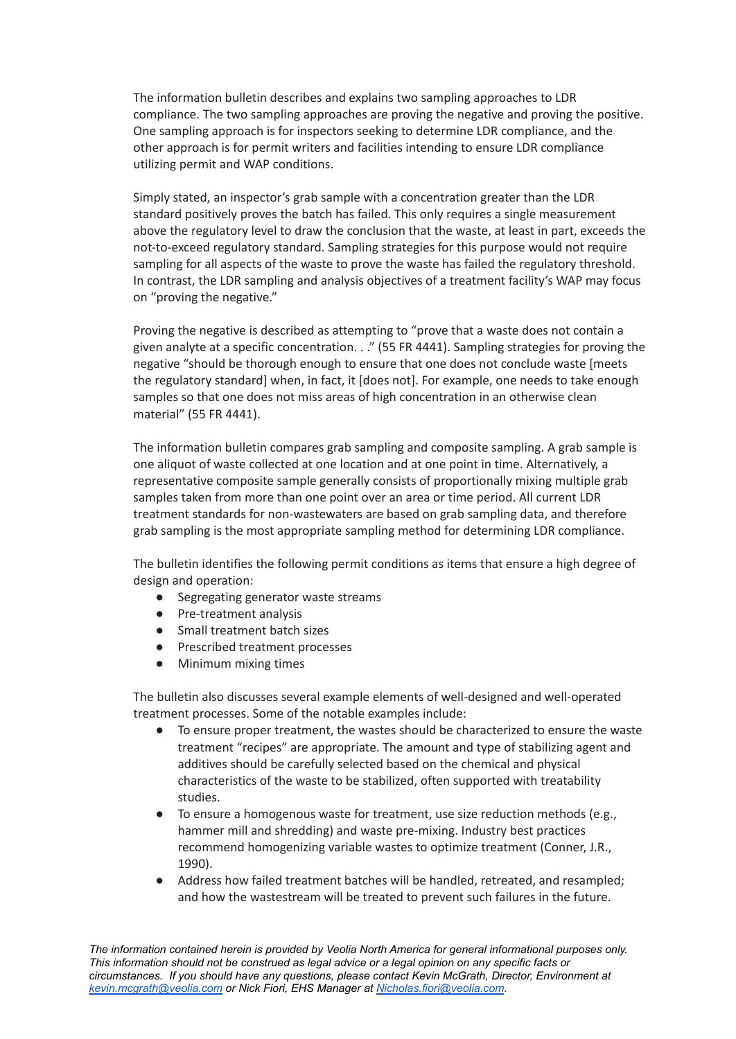The information bulletin describes and explains two sampling approaches to LDR compliance. The two sampling approaches are proving the negative and proving the positive. One sampling approach is for inspectors seeking to determine LDR compliance, and the other approach is for permit writers and facilities intending to ensure LDR compliance utilizing permit and WAP conditions.

Simply stated, an inspector's grab sample with a concentration greater than the LDR standard positively proves the batch has failed. This only requires a single measurement above the regulatory level to draw the conclusion that the waste, at least in part, exceeds the not-to-exceed regulatory standard. Sampling strategies for this purpose would not require sampling for all aspects of the waste to prove the waste has failed the regulatory threshold. In contrast, the LDR sampling and analysis objectives of a treatment facility's WAP may focus on "proving the negative."

Proving the negative is described as attempting to "prove that a waste does not contain a given analyte at a specific concentration. . ." (55 FR 4441). Sampling strategies for proving the negative "should be thorough enough to ensure that one does not conclude waste [meets the regulatory standard] when, in fact, it [does not]. For example, one needs to take enough samples so that one does not miss areas of high concentration in an otherwise clean material" (55 FR 4441).

The information bulletin compares grab sampling and composite sampling. A grab sample is one aliquot of waste collected at one location and at one point in time. Alternatively, a representative composite sample generally consists of proportionally mixing multiple grab samples taken from more than one point over an area or time period. All current LDR treatment standards for non-wastewaters are based on grab sampling data, and therefore grab sampling is the most appropriate sampling method for determining LDR compliance.

The bulletin identifies the following permit conditions as items that ensure a high degree of design and operation:

- Segregating generator waste streams
- Pre-treatment analysis
- Small treatment batch sizes
- Prescribed treatment processes
- Minimum mixing times

The bulletin also discusses several example elements of well-designed and well-operated treatment processes. Some of the notable examples include:

- To ensure proper treatment, the wastes should be characterized to ensure the waste treatment "recipes" are appropriate. The amount and type of stabilizing agent and additives should be carefully selected based on the chemical and physical characteristics of the waste to be stabilized, often supported with treatability studies.
- To ensure a homogenous waste for treatment, use size reduction methods (e.g., hammer mill and shredding) and waste pre-mixing. Industry best practices recommend homogenizing variable wastes to optimize treatment (Conner, J.R., 1990).
- Address how failed treatment batches will be handled, retreated, and resampled; and how the wastestream will be treated to prevent such failures in the future.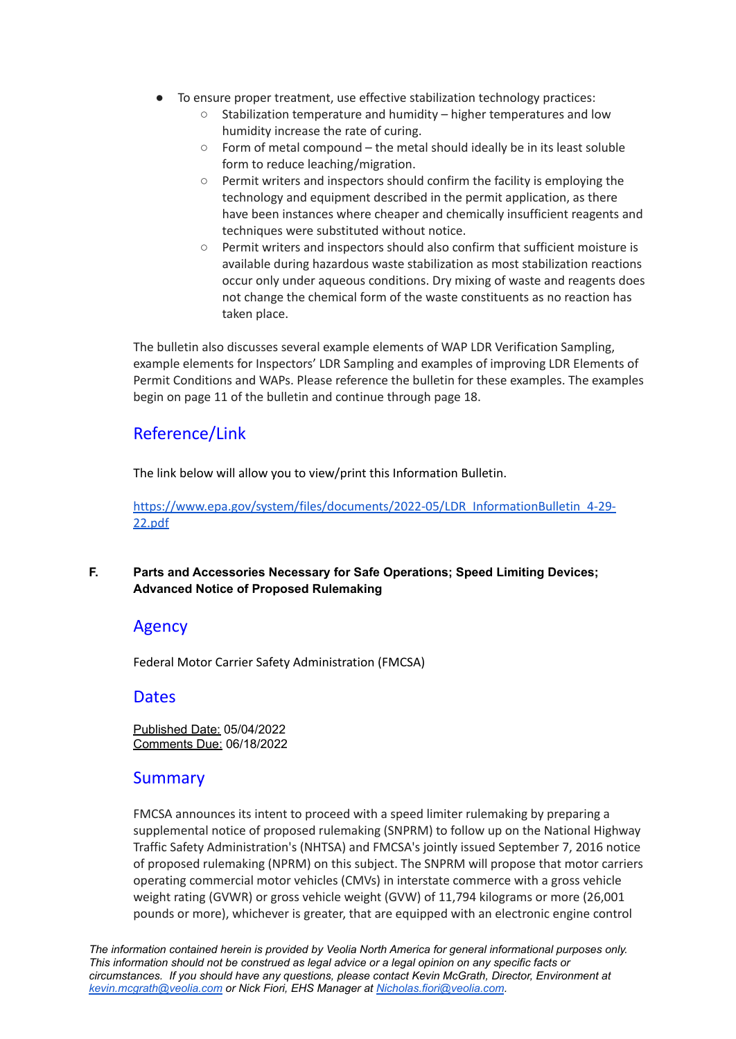- To ensure proper treatment, use effective stabilization technology practices:
	- Stabilization temperature and humidity higher temperatures and low humidity increase the rate of curing.
	- Form of metal compound the metal should ideally be in its least soluble form to reduce leaching/migration.
	- Permit writers and inspectors should confirm the facility is employing the technology and equipment described in the permit application, as there have been instances where cheaper and chemically insufficient reagents and techniques were substituted without notice.
	- Permit writers and inspectors should also confirm that sufficient moisture is available during hazardous waste stabilization as most stabilization reactions occur only under aqueous conditions. Dry mixing of waste and reagents does not change the chemical form of the waste constituents as no reaction has taken place.

The bulletin also discusses several example elements of WAP LDR Verification Sampling, example elements for Inspectors' LDR Sampling and examples of improving LDR Elements of Permit Conditions and WAPs. Please reference the bulletin for these examples. The examples begin on page 11 of the bulletin and continue through page 18.

# Reference/Link

The link below will allow you to view/print this Information Bulletin.

[https://www.epa.gov/system/files/documents/2022-05/LDR\\_InformationBulletin\\_4-29-](https://www.epa.gov/system/files/documents/2022-05/LDR_InformationBulletin_4-29-22.pdf) [22.pdf](https://www.epa.gov/system/files/documents/2022-05/LDR_InformationBulletin_4-29-22.pdf)

## <span id="page-8-0"></span>**F. Parts and Accessories Necessary for Safe Operations; Speed Limiting Devices; Advanced Notice of Proposed Rulemaking**

# Agency

Federal Motor Carrier Safety Administration (FMCSA)

# **Dates**

Published Date: 05/04/2022 Comments Due: 06/18/2022

# Summary

FMCSA announces its intent to proceed with a speed limiter rulemaking by preparing a supplemental notice of proposed rulemaking (SNPRM) to follow up on the National Highway Traffic Safety Administration's (NHTSA) and FMCSA's jointly issued September 7, 2016 notice of proposed rulemaking (NPRM) on this subject. The SNPRM will propose that motor carriers operating commercial motor vehicles (CMVs) in interstate commerce with a gross vehicle weight rating (GVWR) or gross vehicle weight (GVW) of 11,794 kilograms or more (26,001 pounds or more), whichever is greater, that are equipped with an electronic engine control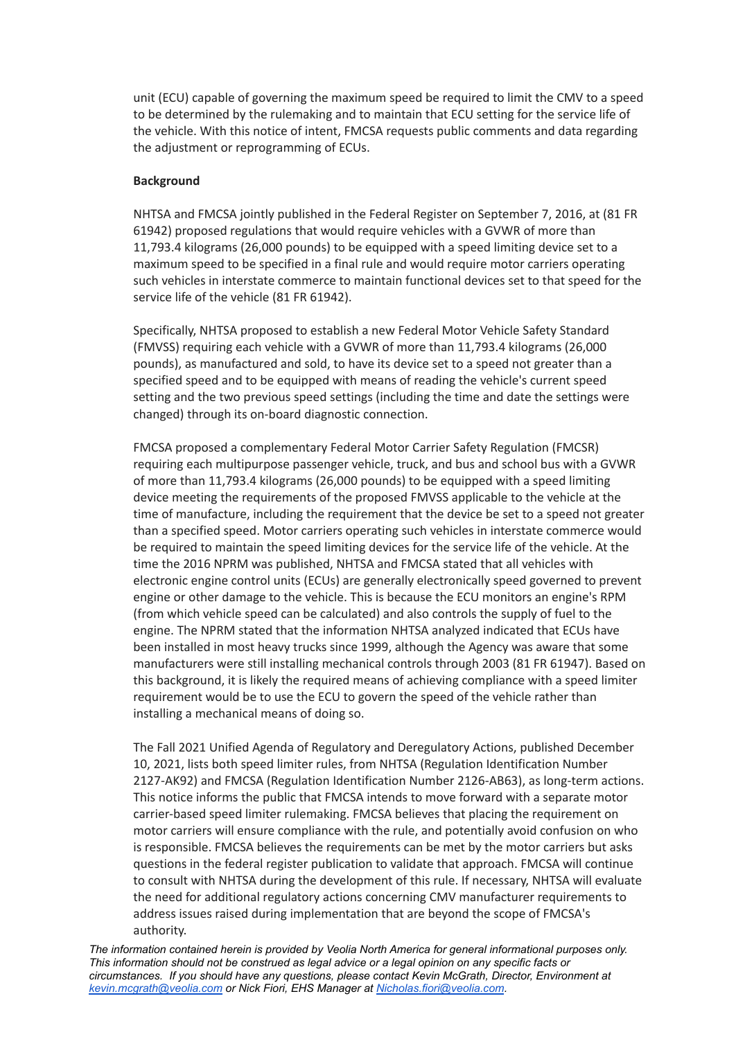unit (ECU) capable of governing the maximum speed be required to limit the CMV to a speed to be determined by the rulemaking and to maintain that ECU setting for the service life of the vehicle. With this notice of intent, FMCSA requests public comments and data regarding the adjustment or reprogramming of ECUs.

#### **Background**

NHTSA and FMCSA jointly published in the Federal Register on September 7, 2016, at (81 FR 61942) proposed regulations that would require vehicles with a GVWR of more than 11,793.4 kilograms (26,000 pounds) to be equipped with a speed limiting device set to a maximum speed to be specified in a final rule and would require motor carriers operating such vehicles in interstate commerce to maintain functional devices set to that speed for the service life of the vehicle (81 FR 61942).

Specifically, NHTSA proposed to establish a new Federal Motor Vehicle Safety Standard (FMVSS) requiring each vehicle with a GVWR of more than 11,793.4 kilograms (26,000 pounds), as manufactured and sold, to have its device set to a speed not greater than a specified speed and to be equipped with means of reading the vehicle's current speed setting and the two previous speed settings (including the time and date the settings were changed) through its on-board diagnostic connection.

FMCSA proposed a complementary Federal Motor Carrier Safety Regulation (FMCSR) requiring each multipurpose passenger vehicle, truck, and bus and school bus with a GVWR of more than 11,793.4 kilograms (26,000 pounds) to be equipped with a speed limiting device meeting the requirements of the proposed FMVSS applicable to the vehicle at the time of manufacture, including the requirement that the device be set to a speed not greater than a specified speed. Motor carriers operating such vehicles in interstate commerce would be required to maintain the speed limiting devices for the service life of the vehicle. At the time the 2016 NPRM was published, NHTSA and FMCSA stated that all vehicles with electronic engine control units (ECUs) are generally electronically speed governed to prevent engine or other damage to the vehicle. This is because the ECU monitors an engine's RPM (from which vehicle speed can be calculated) and also controls the supply of fuel to the engine. The NPRM stated that the information NHTSA analyzed indicated that ECUs have been installed in most heavy trucks since 1999, although the Agency was aware that some manufacturers were still installing mechanical controls through 2003 (81 FR 61947). Based on this background, it is likely the required means of achieving compliance with a speed limiter requirement would be to use the ECU to govern the speed of the vehicle rather than installing a mechanical means of doing so.

The Fall 2021 Unified Agenda of Regulatory and Deregulatory Actions, published December 10, 2021, lists both speed limiter rules, from NHTSA (Regulation Identification Number 2127-AK92) and FMCSA (Regulation Identification Number 2126-AB63), as long-term actions. This notice informs the public that FMCSA intends to move forward with a separate motor carrier-based speed limiter rulemaking. FMCSA believes that placing the requirement on motor carriers will ensure compliance with the rule, and potentially avoid confusion on who is responsible. FMCSA believes the requirements can be met by the motor carriers but asks questions in the federal register publication to validate that approach. FMCSA will continue to consult with NHTSA during the development of this rule. If necessary, NHTSA will evaluate the need for additional regulatory actions concerning CMV manufacturer requirements to address issues raised during implementation that are beyond the scope of FMCSA's authority.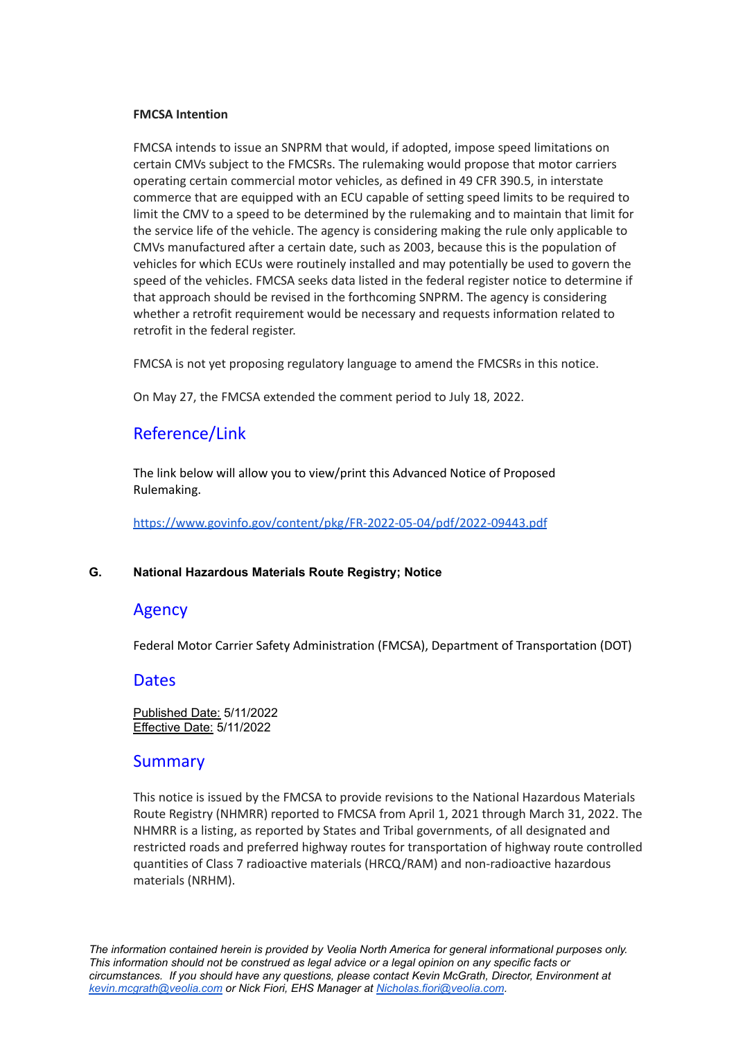#### **FMCSA Intention**

FMCSA intends to issue an SNPRM that would, if adopted, impose speed limitations on certain CMVs subject to the FMCSRs. The rulemaking would propose that motor carriers operating certain commercial motor vehicles, as defined in 49 CFR 390.5, in interstate commerce that are equipped with an ECU capable of setting speed limits to be required to limit the CMV to a speed to be determined by the rulemaking and to maintain that limit for the service life of the vehicle. The agency is considering making the rule only applicable to CMVs manufactured after a certain date, such as 2003, because this is the population of vehicles for which ECUs were routinely installed and may potentially be used to govern the speed of the vehicles. FMCSA seeks data listed in the federal register notice to determine if that approach should be revised in the forthcoming SNPRM. The agency is considering whether a retrofit requirement would be necessary and requests information related to retrofit in the federal register.

FMCSA is not yet proposing regulatory language to amend the FMCSRs in this notice.

On May 27, the FMCSA extended the comment period to July 18, 2022.

# Reference/Link

The link below will allow you to view/print this Advanced Notice of Proposed Rulemaking.

<https://www.govinfo.gov/content/pkg/FR-2022-05-04/pdf/2022-09443.pdf>

#### <span id="page-10-0"></span>**G. National Hazardous Materials Route Registry; Notice**

#### Agency

Federal Motor Carrier Safety Administration (FMCSA), Department of Transportation (DOT)

#### **Dates**

Published Date: 5/11/2022 Effective Date: 5/11/2022

#### **Summary**

This notice is issued by the FMCSA to provide revisions to the National Hazardous Materials Route Registry (NHMRR) reported to FMCSA from April 1, 2021 through March 31, 2022. The NHMRR is a listing, as reported by States and Tribal governments, of all designated and restricted roads and preferred highway routes for transportation of highway route controlled quantities of Class 7 radioactive materials (HRCQ/RAM) and non-radioactive hazardous materials (NRHM).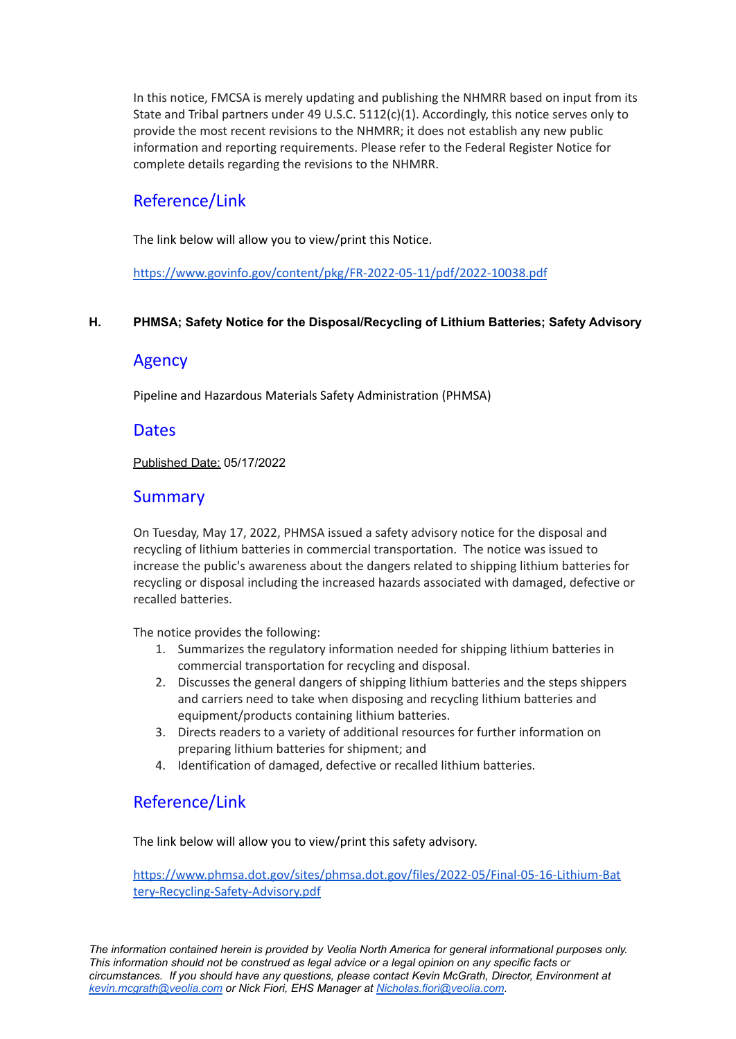In this notice, FMCSA is merely updating and publishing the NHMRR based on input from its State and Tribal partners under 49 U.S.C. 5112(c)(1). Accordingly, this notice serves only to provide the most recent revisions to the NHMRR; it does not establish any new public information and reporting requirements. Please refer to the Federal Register Notice for complete details regarding the revisions to the NHMRR.

# Reference/Link

The link below will allow you to view/print this Notice.

<https://www.govinfo.gov/content/pkg/FR-2022-05-11/pdf/2022-10038.pdf>

#### <span id="page-11-0"></span>**H. PHMSA; Safety Notice for the Disposal/Recycling of Lithium Batteries; Safety Advisory**

## Agency

Pipeline and Hazardous Materials Safety Administration (PHMSA)

## **Dates**

Published Date: 05/17/2022

# **Summary**

On Tuesday, May 17, 2022, PHMSA issued a safety advisory notice for the disposal and recycling of lithium batteries in commercial transportation. The notice was issued to increase the public's awareness about the dangers related to shipping lithium batteries for recycling or disposal including the increased hazards associated with damaged, defective or recalled batteries.

The notice provides the following:

- 1. Summarizes the regulatory information needed for shipping lithium batteries in commercial transportation for recycling and disposal.
- 2. Discusses the general dangers of shipping lithium batteries and the steps shippers and carriers need to take when disposing and recycling lithium batteries and equipment/products containing lithium batteries.
- 3. Directs readers to a variety of additional resources for further information on preparing lithium batteries for shipment; and
- 4. Identification of damaged, defective or recalled lithium batteries.

# Reference/Link

The link below will allow you to view/print this safety advisory.

[https://www.phmsa.dot.gov/sites/phmsa.dot.gov/files/2022-05/Final-05-16-Lithium-Bat](https://www.phmsa.dot.gov/sites/phmsa.dot.gov/files/2022-05/Final-05-16-Lithium-Battery-Recycling-Safety-Advisory.pdf) [tery-Recycling-Safety-Advisory.pdf](https://www.phmsa.dot.gov/sites/phmsa.dot.gov/files/2022-05/Final-05-16-Lithium-Battery-Recycling-Safety-Advisory.pdf)